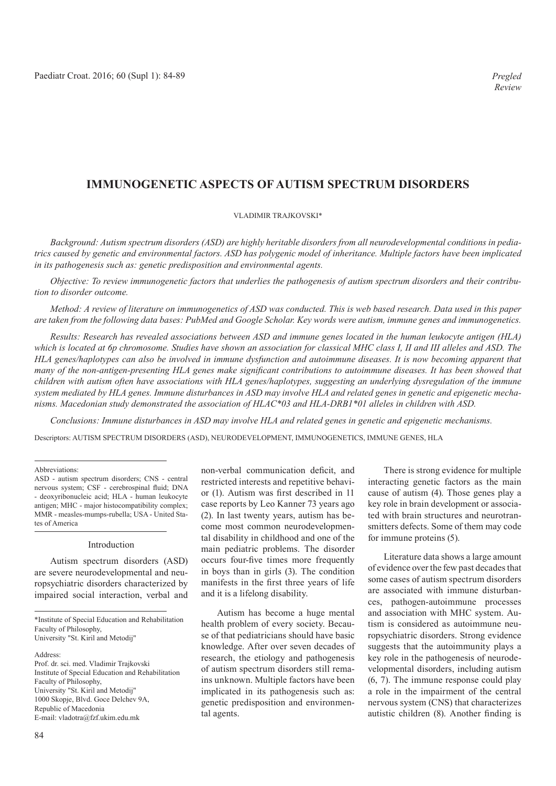# **IMMUNOGENETIC ASPECTS OF AUTISM SPECTRUM DISORDERS**

### VLADIMIR TRAJKOVSKI\*

*Background: Autism spectrum disorders (ASD) are highly heritable disorders from all neurodevelopmental conditions in pediatrics caused by genetic and environmental factors. ASD has polygenic model of inheritance. Multiple factors have been implicated in its pathogenesis such as: genetic predisposition and environmental agents.*

*Objective: To review immunogenetic factors that underlies the pathogenesis of autism spectrum disorders and their contribution to disorder outcome.*

*Method: A review of literature on immunogenetics of ASD was conducted. This is web based research. Data used in this paper are taken from the following data bases: PubMed and Google Scholar. Key words were autism, immune genes and immunogenetics.*

*Results: Research has revealed associations between ASD and immune genes located in the human leukocyte antigen (HLA) which is located at 6p chromosome. Studies have shown an association for classical MHC class I, II and III alleles and ASD. The HLA genes/haplotypes can also be involved in immune dysfunction and autoimmune diseases. It is now becoming apparent that many of the non-antigen-presenting HLA genes make significant contributions to autoimmune diseases. It has been showed that children with autism often have associations with HLA genes/haplotypes, suggesting an underlying dysregulation of the immune system mediated by HLA genes. Immune disturbances in ASD may involve HLA and related genes in genetic and epigenetic mechanisms. Macedonian study demonstrated the association of HLAC\*03 and HLA-DRB1\*01 alleles in children with ASD.* 

*Conclusions: Immune disturbances in ASD may involve HLA and related genes in genetic and epigenetic mechanisms.* Descriptors: AUTISM SPECTRUM DISORDERS (ASD), NEURODEVELOPMENT, IMMUNOGENETICS, IMMUNE GENES, HLA

#### Abbreviations:

ASD - autism spectrum disorders; CNS - central nervous system; CSF - cerebrospinal fluid; DNA - deoxyribonucleic acid; HLA - human leukocyte antigen; MHC - major histocompatibility complex; MMR - measles-mumps-rubella; USA - United States of America

#### Introduction

Autism spectrum disorders (ASD) are severe neurodevelopmental and neuropsychiatric disorders characterized by impaired social interaction, verbal and

\*Institute of Special Education and Rehabilitation Faculty of Philosophy, University "St. Kiril and Metodij"

Prof. dr. sci. med. Vladimir Trajkovski Institute of Special Education and Rehabilitation Faculty of Philosophy, University "St. Kiril and Metodij" 1000 Skopje, Blvd. Goce Delchev 9A, Republic of Macedonia E-mail: vladotra@fzf.ukim.edu.mk

non-verbal communication deficit, and restricted interests and repetitive behavior (1). Autism was first described in 11 case reports by Leo Kanner 73 years ago (2). In last twenty years, autism has become most common neurodevelopmental disability in childhood and one of the main pediatric problems. The disorder occurs four-five times more frequently in boys than in girls (3). The condition manifests in the first three years of life and it is a lifelong disability.

Autism has become a huge mental health problem of every society. Because of that pediatricians should have basic knowledge. After over seven decades of research, the etiology and pathogenesis of autism spectrum disorders still remains unknown. Multiple factors have been implicated in its pathogenesis such as: genetic predisposition and environmental agents.

There is strong evidence for multiple interacting genetic factors as the main cause of autism (4). Those genes play a key role in brain development or associated with brain structures and neurotransmitters defects. Some of them may code for immune proteins (5).

Literature data shows a large amount of evidence over the few past decades that some cases of autism spectrum disorders are associated with immune disturbances, pathogen-autoimmune processes and association with MHC system. Autism is considered as autoimmune neuropsychiatric disorders. Strong evidence suggests that the autoimmunity plays a key role in the pathogenesis of neurodevelopmental disorders, including autism (6, 7). The immune response could play a role in the impairment of the central nervous system (CNS) that characterizes autistic children (8). Another finding is

Address: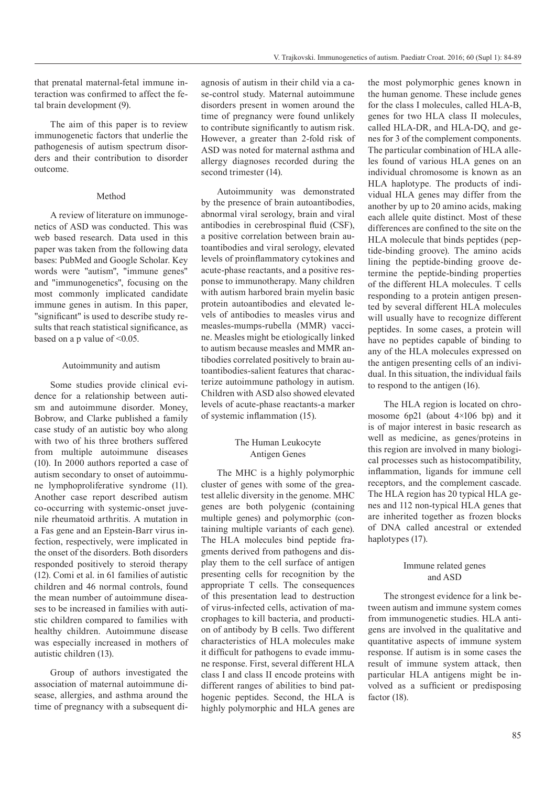that prenatal maternal-fetal immune interaction was confirmed to affect the fetal brain development (9).

The aim of this paper is to review immunogenetic factors that underlie the pathogenesis of autism spectrum disorders and their contribution to disorder outcome.

#### Method

A review of literature on immunogenetics of ASD was conducted. This was web based research. Data used in this paper was taken from the following data bases: PubMed and Google Scholar. Key words were "autism", "immune genes" and "immunogenetics", focusing on the most commonly implicated candidate immune genes in autism. In this paper, "significant" is used to describe study results that reach statistical significance, as based on a p value of <0.05.

#### Autoimmunity and autism

Some studies provide clinical evidence for a relationship between autism and autoimmune disorder. Money, Bobrow, and Clarke published a family case study of an autistic boy who along with two of his three brothers suffered from multiple autoimmune diseases (10). In 2000 authors reported a case of autism secondary to onset of autoimmune lymphoproliferative syndrome (11). Another case report described autism co-occurring with systemic-onset juvenile rheumatoid arthritis. A mutation in a Fas gene and an Epstein-Barr virus infection, respectively, were implicated in the onset of the disorders. Both disorders responded positively to steroid therapy (12). Comi et al. in 61 families of autistic children and 46 normal controls, found the mean number of autoimmune diseases to be increased in families with autistic children compared to families with healthy children. Autoimmune disease was especially increased in mothers of autistic children (13).

Group of authors investigated the association of maternal autoimmune disease, allergies, and asthma around the time of pregnancy with a subsequent diagnosis of autism in their child via a case-control study. Maternal autoimmune disorders present in women around the time of pregnancy were found unlikely to contribute significantly to autism risk. However, a greater than 2-fold risk of ASD was noted for maternal asthma and allergy diagnoses recorded during the second trimester (14).

Autoimmunity was demonstrated by the presence of brain autoantibodies, abnormal viral serology, brain and viral antibodies in cerebrospinal fluid (CSF), a positive correlation between brain autoantibodies and viral serology, elevated levels of proinflammatory cytokines and acute-phase reactants, and a positive response to immunotherapy. Many children with autism harbored brain myelin basic protein autoantibodies and elevated levels of antibodies to measles virus and measles-mumps-rubella (MMR) vaccine. Measles might be etiologically linked to autism because measles and MMR antibodies correlated positively to brain autoantibodies-salient features that characterize autoimmune pathology in autism. Children with ASD also showed elevated levels of acute-phase reactants-a marker of systemic inflammation (15).

## The Human Leukocyte Antigen Genes

The MHC is a highly polymorphic cluster of genes with some of the greatest allelic diversity in the genome. MHC genes are both polygenic (containing multiple genes) and polymorphic (containing multiple variants of each gene). The HLA molecules bind peptide fragments derived from pathogens and display them to the cell surface of antigen presenting cells for recognition by the appropriate T cells. The consequences of this presentation lead to destruction of virus-infected cells, activation of macrophages to kill bacteria, and production of antibody by B cells. Two different characteristics of HLA molecules make it difficult for pathogens to evade immune response. First, several different HLA class I and class II encode proteins with different ranges of abilities to bind pathogenic peptides. Second, the HLA is highly polymorphic and HLA genes are

the most polymorphic genes known in the human genome. These include genes for the class I molecules, called HLA-B, genes for two HLA class II molecules, called HLA-DR, and HLA-DQ, and genes for 3 of the complement components. The particular combination of HLA alleles found of various HLA genes on an individual chromosome is known as an HLA haplotype. The products of individual HLA genes may differ from the another by up to 20 amino acids, making each allele quite distinct. Most of these differences are confined to the site on the HLA molecule that binds peptides (peptide-binding groove). The amino acids lining the peptide-binding groove determine the peptide-binding properties of the different HLA molecules. T cells responding to a protein antigen presented by several different HLA molecules will usually have to recognize different peptides. In some cases, a protein will have no peptides capable of binding to any of the HLA molecules expressed on the antigen presenting cells of an individual. In this situation, the individual fails to respond to the antigen (16).

The HLA region is located on chromosome 6p21 (about 4×106 bp) and it is of major interest in basic research as well as medicine, as genes/proteins in this region are involved in many biological processes such as histocompatibility, inflammation, ligands for immune cell receptors, and the complement cascade. The HLA region has 20 typical HLA genes and 112 non-typical HLA genes that are inherited together as frozen blocks of DNA called ancestral or extended haplotypes (17).

## Immune related genes and ASD

The strongest evidence for a link between autism and immune system comes from immunogenetic studies. HLA antigens are involved in the qualitative and quantitative aspects of immune system response. If autism is in some cases the result of immune system attack, then particular HLA antigens might be involved as a sufficient or predisposing factor (18).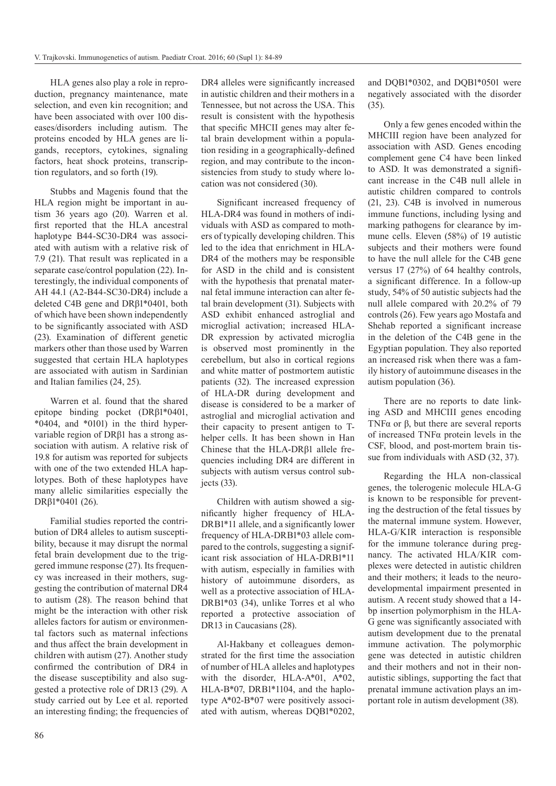HLA genes also play a role in reproduction, pregnancy maintenance, mate selection, and even kin recognition; and have been associated with over 100 diseases/disorders including autism. The proteins encoded by HLA genes are ligands, receptors, cytokines, signaling factors, heat shock proteins, transcription regulators, and so forth (19).

Stubbs and Magenis found that the HLA region might be important in autism 36 years ago (20). Warren et al. first reported that the HLA ancestral haplotype B44-SC30-DR4 was associated with autism with a relative risk of 7.9 (21). That result was replicated in a separate case/control population (22). Interestingly, the individual components of AH 44.1 (A2-B44-SC30-DR4) include a deleted C4B gene and DRβ1\*0401, both of which have been shown independently to be significantly associated with ASD (23). Examination of different genetic markers other than those used by Warren suggested that certain HLA haplotypes are associated with autism in Sardinian and Italian families (24, 25).

Warren et al. found that the shared epitope binding pocket (DRβ1\*0401, \*0404, and \*0101) in the third hypervariable region of DRβ1 has a strong association with autism. A relative risk of 19.8 for autism was reported for subjects with one of the two extended HLA haplotypes. Both of these haplotypes have many allelic similarities especially the DRβ1\*0401 (26).

Familial studies reported the contribution of DR4 alleles to autism susceptibility, because it may disrupt the normal fetal brain development due to the triggered immune response (27). Its frequency was increased in their mothers, suggesting the contribution of maternal DR4 to autism (28). The reason behind that might be the interaction with other risk alleles factors for autism or environmental factors such as maternal infections and thus affect the brain development in children with autism (27). Another study confirmed the contribution of DR4 in the disease susceptibility and also suggested a protective role of DR13 (29). A study carried out by Lee et al. reported an interesting finding; the frequencies of DR4 alleles were significantly increased in autistic children and their mothers in a Tennessee, but not across the USA. This result is consistent with the hypothesis that specific MHCII genes may alter fetal brain development within a population residing in a geographically-defined region, and may contribute to the inconsistencies from study to study where location was not considered (30).

Significant increased frequency of HLA-DR4 was found in mothers of individuals with ASD as compared to mothers of typically developing children. This led to the idea that enrichment in HLA-DR4 of the mothers may be responsible for ASD in the child and is consistent with the hypothesis that prenatal maternal fetal immune interaction can alter fetal brain development (31). Subjects with ASD exhibit enhanced astroglial and microglial activation; increased HLA-DR expression by activated microglia is observed most prominently in the cerebellum, but also in cortical regions and white matter of postmortem autistic patients (32). The increased expression of HLA-DR during development and disease is considered to be a marker of astroglial and microglial activation and their capacity to present antigen to Thelper cells. It has been shown in Han Chinese that the HLA-DRβ1 allele frequencies including DR4 are different in subjects with autism versus control subjects (33).

Children with autism showed a significantly higher frequency of HLA-DRB1\*11 allele, and a significantly lower frequency of HLA-DRB1\*03 allele compared to the controls, suggesting a significant risk association of HLA-DRB1\*11 with autism, especially in families with history of autoimmune disorders, as well as a protective association of HLA-DRB1\*03 (34), unlike Torres et al who reported a protective association of DR13 in Caucasians (28).

Al-Hakbany et colleagues demonstrated for the first time the association of number of HLA alleles and haplotypes with the disorder, HLA-A\*01, A\*02, HLA-B\*07, DRB1\*1104, and the haplotype A\*02-B\*07 were positively associated with autism, whereas DQB1\*0202,

and DQB1\*0302, and DQB1\*0501 were negatively associated with the disorder (35).

Only a few genes encoded within the MHCIII region have been analyzed for association with ASD. Genes encoding complement gene C4 have been linked to ASD. It was demonstrated a significant increase in the C4B null allele in autistic children compared to controls (21, 23). C4B is involved in numerous immune functions, including lysing and marking pathogens for clearance by immune cells. Eleven (58%) of 19 autistic subjects and their mothers were found to have the null allele for the C4B gene versus 17 (27%) of 64 healthy controls, a significant difference. In a follow-up study, 54% of 50 autistic subjects had the null allele compared with 20.2% of 79 controls (26). Few years ago Mostafa and Shehab reported a significant increase in the deletion of the C4B gene in the Egyptian population. They also reported an increased risk when there was a family history of autoimmune diseases in the autism population (36).

There are no reports to date linking ASD and MHCIII genes encoding TNF $\alpha$  or  $\beta$ , but there are several reports of increased TNFα protein levels in the CSF, blood, and post-mortem brain tissue from individuals with ASD (32, 37).

Regarding the HLA non-classical genes, the tolerogenic molecule HLA-G is known to be responsible for preventing the destruction of the fetal tissues by the maternal immune system. However, HLA-G/KIR interaction is responsible for the immune tolerance during pregnancy. The activated HLA/KIR complexes were detected in autistic children and their mothers; it leads to the neurodevelopmental impairment presented in autism. A recent study showed that a 14 bp insertion polymorphism in the HLA-G gene was significantly associated with autism development due to the prenatal immune activation. The polymorphic gene was detected in autistic children and their mothers and not in their nonautistic siblings, supporting the fact that prenatal immune activation plays an important role in autism development (38).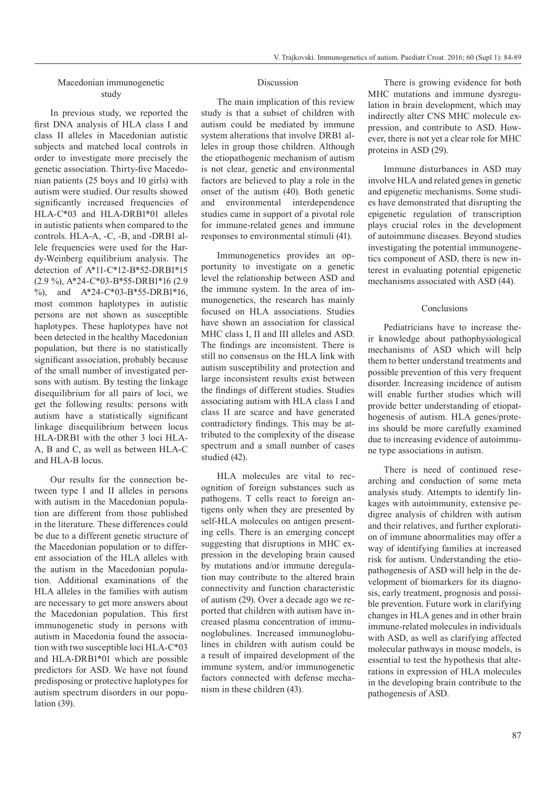# Macedonian immunogenetic study

In previous study, we reported the first DNA analysis of HLA class I and class II alleles in Macedonian autistic subjects and matched local controls in order to investigate more precisely the genetic association. Thirty-five Macedonian patients (25 boys and 10 girls) with autism were studied. Our results showed significantly increased frequencies of HLA-C\*03 and HLA-DRB1\*01 alleles in autistic patients when compared to the controls. HLA-A, -C, -B, and -DRB1 allele frequencies were used for the Hardy-Weinberg equilibrium analysis. The detection of A\*11-C\*12-B\*52-DRB1\*15 (2.9 %), A\*24-C\*03-B\*55-DRB1\*16 (2.9 %), and A\*24-C\*03-B\*55-DRB1\*16, most common haplotypes in autistic persons are not shown as susceptible haplotypes. These haplotypes have not been detected in the healthy Macedonian population, but there is no statistically significant association, probably because of the small number of investigated persons with autism. By testing the linkage disequilibrium for all pairs of loci, we get the following results: persons with autism have a statistically significant linkage disequilibrium between locus HLA-DRB1 with the other 3 loci HLA-A, B and C, as well as between HLA-C and HLA-B locus.

Our results for the connection between type I and II alleles in persons with autism in the Macedonian population are different from those published in the literature. These differences could be due to a different genetic structure of the Macedonian population or to different association of the HLA alleles with the autism in the Macedonian population. Additional examinations of the HLA alleles in the families with autism are necessary to get more answers about the Macedonian population. This first immunogenetic study in persons with autism in Macedonia found the association with two susceptible loci HLA-C\*03 and HLA-DRB1\*01 which are possible predictors for ASD. We have not found predisposing or protective haplotypes for autism spectrum disorders in our population (39).

#### **Discussion**

The main implication of this review study is that a subset of children with autism could be mediated by immune system alterations that involve DRB1 alleles in group those children. Although the etiopathogenic mechanism of autism is not clear, genetic and environmental factors are believed to play a role in the onset of the autism (40). Both genetic and environmental interdependence studies came in support of a pivotal role for immune-related genes and immune responses to environmental stimuli (41).

Immunogenetics provides an opportunity to investigate on a genetic level the relationship between ASD and the immune system. In the area of immunogenetics, the research has mainly focused on HLA associations. Studies have shown an association for classical MHC class I, II and III alleles and ASD. The findings are inconsistent. There is still no consensus on the HLA link with autism susceptibility and protection and large inconsistent results exist between the findings of different studies. Studies associating autism with HLA class I and class II are scarce and have generated contradictory findings. This may be attributed to the complexity of the disease spectrum and a small number of cases studied (42).

HLA molecules are vital to recognition of foreign substances such as pathogens. T cells react to foreign antigens only when they are presented by self-HLA molecules on antigen presenting cells. There is an emerging concept suggesting that disruptions in MHC expression in the developing brain caused by mutations and/or immune deregulation may contribute to the altered brain connectivity and function characteristic of autism (29). Over a decade ago we reported that children with autism have increased plasma concentration of immunoglobulines. Increased immunoglobulines in children with autism could be a result of impaired development of the immune system, and/or immunogenetic factors connected with defense mechanism in these children (43).

There is growing evidence for both MHC mutations and immune dysregulation in brain development, which may indirectly alter CNS MHC molecule expression, and contribute to ASD. However, there is not yet a clear role for MHC proteins in ASD (29).

Immune disturbances in ASD may involve HLA and related genes in genetic and epigenetic mechanisms. Some studies have demonstrated that disrupting the epigenetic regulation of transcription plays crucial roles in the development of autoimmune diseases. Beyond studies investigating the potential immunogenetics component of ASD, there is new interest in evaluating potential epigenetic mechanisms associated with ASD (44).

#### Conclusions

Pediatricians have to increase their knowledge about pathophysiological mechanisms of ASD which will help them to better understand treatments and possible prevention of this very frequent disorder. Increasing incidence of autism will enable further studies which will provide better understanding of etiopathogenesis of autism. HLA genes/proteins should be more carefully examined due to increasing evidence of autoimmune type associations in autism.

There is need of continued researching and conduction of some meta analysis study. Attempts to identify linkages with autoimmunity, extensive pedigree analysis of children with autism and their relatives, and further exploration of immune abnormalities may offer a way of identifying families at increased risk for autism. Understanding the etiopathogenesis of ASD will help in the development of biomarkers for its diagnosis, early treatment, prognosis and possible prevention. Future work in clarifying changes in HLA genes and in other brain immune-related molecules in individuals with ASD, as well as clarifying affected molecular pathways in mouse models, is essential to test the hypothesis that alterations in expression of HLA molecules in the developing brain contribute to the pathogenesis of ASD.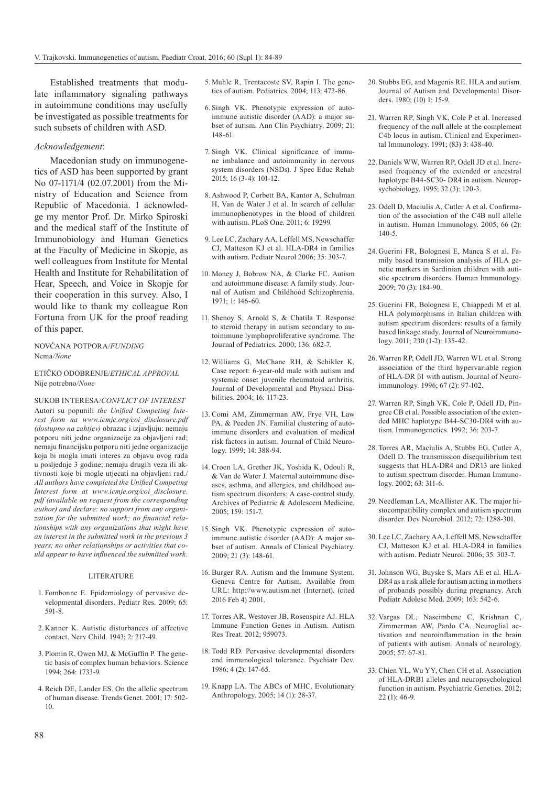Established treatments that modulate inflammatory signaling pathways in autoimmune conditions may usefully be investigated as possible treatments for such subsets of children with ASD.

## *Acknowledgement*:

Macedonian study on immunogenetics of ASD has been supported by grant No 07-1171/4 (02.07.2001) from the Ministry of Education and Science from Republic of Macedonia. I acknowledge my mentor Prof. Dr. Mirko Spiroski and the medical staff of the Institute of Immunobiology and Human Genetics at the Faculty of Medicine in Skopje, as well colleagues from Institute for Mental Health and Institute for Rehabilitation of Hear, Speech, and Voice in Skopje for their cooperation in this survey. Also, I would like to thank my colleague Ron Fortuna from UK for the proof reading of this paper.

## NOVČANA POTPORA/*FUNDING* Nema*/None*

## ETIČKO ODOBRENJE/*ETHICAL APPROVAL* Nije potrebno*/None*

SUKOB INTERESA/*CONFLICT OF INTEREST* Autori su popunili *the Unified Competing Interest form na www.icmje.org/coi\_disclosure.pdf (dostupno na zahtjev)* obrazac i izjavljuju: nemaju potporu niti jedne organizacije za objavljeni rad; nemaju financijsku potporu niti jedne organizacije koja bi mogla imati interes za objavu ovog rada u posljednje 3 godine; nemaju drugih veza ili aktivnosti koje bi mogle utjecati na objavljeni rad./ *All authors have completed the Unified Competing Interest form at www.icmje.org/coi\_disclosure. pdf (available on request from the corresponding author) and declare: no support from any organization for the submitted work; no financial relationships with any organizations that might have an interest in the submitted work in the previous 3 years; no other relationships or activities that could appear to have influenced the submitted work.*

#### LITERATURE

- 1. Fombonne E. Epidemiology of pervasive developmental disorders. Pediatr Res. 2009; 65: 591-8.
- 2. Kanner K. Autistic disturbances of affective contact. Nerv Child. 1943; 2: 217-49.
- 3. Plomin R, Owen MJ, & McGuffin P. The genetic basis of complex human behaviors. Science 1994; 264: 1733-9.
- 4. Reich DE, Lander ES. On the allelic spectrum of human disease. Trends Genet. 2001; 17: 502- 10.
- 5. Muhle R, Trentacoste SV, Rapin I. The genetics of autism. Pediatrics. 2004; 113: 472-86.
- 6. Singh VK. Phenotypic expression of autoimmune autistic disorder (AAD): a major subset of autism. Ann Clin Psychiatry. 2009; 21: 148-61.
- 7. Singh VK. Clinical significance of immune imbalance and autoimmunity in nervous system disorders (NSDs). J Spec Educ Rehab 2015; 16 (3-4): 101-12.
- 8. Ashwood P, Corbett BA, Kantor A, Schulman H, Van de Water J et al. In search of cellular immunophenotypes in the blood of children with autism. PLoS One. 2011; 6: 19299.
- 9. Lee LC, Zachary AA, Leffell MS, Newschaffer CJ, Matteson KJ et al. HLA-DR4 in families with autism. Pediatr Neurol 2006; 35: 303-7.
- 10. Money J, Bobrow NA, & Clarke FC. Autism and autoimmune disease: A family study. Journal of Autism and Childhood Schizophrenia. 1971; 1: 146-60.
- 11. Shenoy S, Arnold S, & Chatila T. Response to steroid therapy in autism secondary to autoimmune lymphoproliferative syndrome. The Journal of Pediatrics. 2000; 136: 682-7.
- 12. Williams G, McChane RH, & Schikler K. Case report: 6-year-old male with autism and systemic onset juvenile rheumatoid arthritis. Journal of Developmental and Physical Disabilities. 2004; 16: 117-23.
- 13. Comi AM, Zimmerman AW, Frye VH, Law PA, & Peeden JN. Familial clustering of autoimmune disorders and evaluation of medical risk factors in autism. Journal of Child Neurology. 1999; 14: 388-94.
- 14. Croen LA, Grether JK, Yoshida K, Odouli R, & Van de Water J. Maternal autoimmune diseases, asthma, and allergies, and childhood autism spectrum disorders: A case-control study. Archives of Pediatric & Adolescent Medicine. 2005; 159: 151-7.
- 15. Singh VK. Phenotypic expression of autoimmune autistic disorder (AAD): A major subset of autism. Annals of Clinical Psychiatry. 2009; 21 (3): 148-61.
- 16. Burger RA. Autism and the Immune System. Geneva Centre for Autism. Available from URL: http://www.autism.net (Internet). (cited 2016 Feb 4) 2001.
- 17. Torres AR, Westover JB, Rosenspire AJ. HLA Immune Function Genes in Autism. Autism Res Treat. 2012; 959073.
- 18. Todd RD. Pervasive developmental disorders and immunological tolerance. Psychiatr Dev. 1986; 4 (2): 147-65.
- 19. Knapp LA. The ABCs of MHC. Evolutionary Anthropology. 2005; 14 (1): 28-37.
- 20. Stubbs EG, and Magenis RE. HLA and autism. Journal of Autism and Developmental Disorders. 1980; (10) 1: 15-9.
- 21. Warren RP, Singh VK, Cole P et al. Increased frequency of the null allele at the complement C4b locus in autism. Clinical and Experimental Immunology. 1991; (83) 3: 438-40.
- 22. Daniels WW, Warren RP, Odell JD et al. Increased frequency of the extended or ancestral haplotype B44-SC30- DR4 in autism. Neuropsychobiology. 1995; 32 (3): 120-3.
- 23. Odell D, Maciulis A, Cutler A et al. Confirmation of the association of the C4B null allelle in autism. Human Immunology. 2005; 66 (2): 140-5.
- 24. Guerini FR, Bolognesi E, Manca S et al. Family based transmission analysis of HLA genetic markers in Sardinian children with autistic spectrum disorders. Human Immunology. 2009; 70 (3): 184-90.
- 25. Guerini FR, Bolognesi E, Chiappedi M et al. HLA polymorphisms in Italian children with autism spectrum disorders: results of a family based linkage study. Journal of Neuroimmunology. 2011; 230 (1-2): 135-42.
- 26. Warren RP, Odell JD, Warren WL et al. Strong association of the third hypervariable region of HLA-DR β1 with autism. Journal of Neuroimmunology. 1996; 67 (2): 97-102.
- 27. Warren RP, Singh VK, Cole P, Odell JD, Pingree CB et al. Possible association of the extended MHC haplotype B44-SC30-DR4 with autism. Immunogenetics. 1992; 36: 203-7.
- 28. Torres AR, Maciulis A, Stubbs EG, Cutler A, Odell D. The transmission disequilibrium test suggests that HLA-DR4 and DR13 are linked to autism spectrum disorder. Human Immunology. 2002; 63: 311-6.
- 29. Needleman LA, McAllister AK. The major histocompatibility complex and autism spectrum disorder. Dev Neurobiol. 2012; 72: 1288-301.
- 30. Lee LC, Zachary AA, Leffell MS, Newschaffer CJ, Matteson KJ et al. HLA-DR4 in families with autism. Pediatr Neurol. 2006; 35: 303-7.
- 31. Johnson WG, Buyske S, Mars AE et al. HLA-DR4 as a risk allele for autism acting in mothers of probands possibly during pregnancy. Arch Pediatr Adolesc Med. 2009; 163: 542-6.
- 32. Vargas DL, Nascimbene C, Krishnan C, Zimmerman AW, Pardo CA. Neuroglial activation and neuroinflammation in the brain of patients with autism. Annals of neurology. 2005; 57: 67-81.
- 33. Chien YL, Wu YY, Chen CH et al. Association of HLA-DRB1 alleles and neuropsychological function in autism. Psychiatric Genetics. 2012; 22 (1): 46-9.